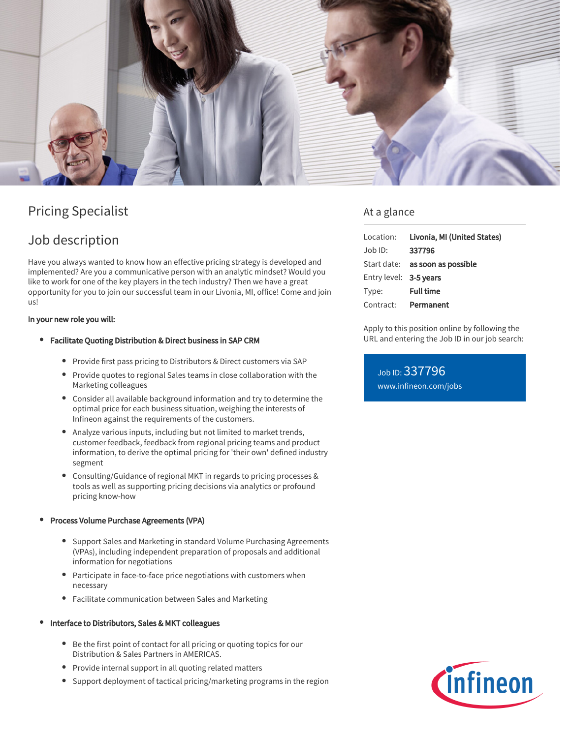

# Pricing Specialist

## Job description

Have you always wanted to know how an effective pricing strategy is developed and implemented? Are you a communicative person with an analytic mindset? Would you like to work for one of the key players in the tech industry? Then we have a great opportunity for you to join our successful team in our Livonia, MI, office! Come and join us!

#### In your new role you will:

- Facilitate Quoting Distribution & Direct business in SAP CRM
	- Provide first pass pricing to Distributors & Direct customers via SAP
	- Provide quotes to regional Sales teams in close collaboration with the Marketing colleagues
	- Consider all available background information and try to determine the optimal price for each business situation, weighing the interests of Infineon against the requirements of the customers.
	- Analyze various inputs, including but not limited to market trends, customer feedback, feedback from regional pricing teams and product information, to derive the optimal pricing for 'their own' defined industry segment
	- Consulting/Guidance of regional MKT in regards to pricing processes & tools as well as supporting pricing decisions via analytics or profound pricing know-how

### Process Volume Purchase Agreements (VPA)

- Support Sales and Marketing in standard Volume Purchasing Agreements (VPAs), including independent preparation of proposals and additional information for negotiations
- Participate in face-to-face price negotiations with customers when necessary
- Facilitate communication between Sales and Marketing

#### Interface to Distributors, Sales & MKT colleagues

- Be the first point of contact for all pricing or quoting topics for our Distribution & Sales Partners in AMERICAS.
- Provide internal support in all quoting related matters
- $\bullet$ Support deployment of tactical pricing/marketing programs in the region

### At a glance

| Location:              | Livonia, MI (United States)            |
|------------------------|----------------------------------------|
| Job ID:                | 337796                                 |
|                        | Start date: <b>as soon as possible</b> |
| Entry level: 3-5 years |                                        |
| Type:                  | <b>Full time</b>                       |
| Contract:              | Permanent                              |

Apply to this position online by following the URL and entering the Job ID in our job search:

Job ID: 337796 [www.infineon.com/jobs](https://www.infineon.com/jobs)

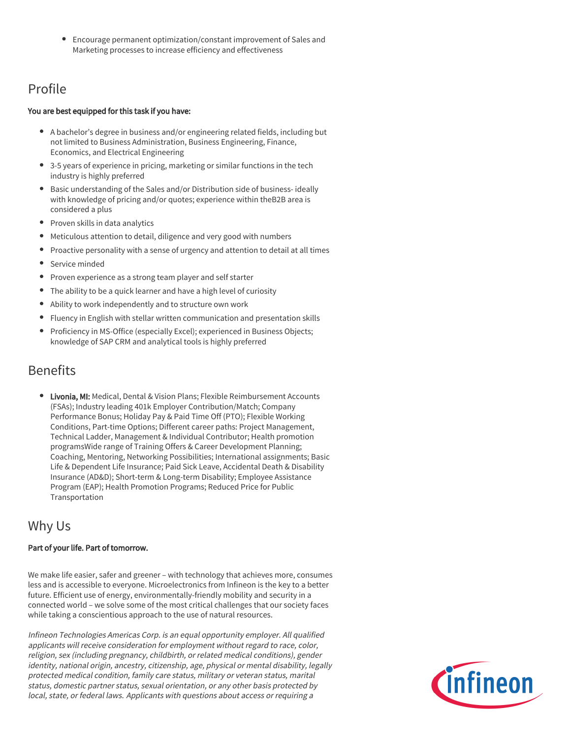Encourage permanent optimization/constant improvement of Sales and Marketing processes to increase efficiency and effectiveness

## Profile

### You are best equipped for this task if you have:

- A bachelor's degree in business and/or engineering related fields, including but not limited to Business Administration, Business Engineering, Finance, Economics, and Electrical Engineering
- 3-5 years of experience in pricing, marketing or similar functions in the tech industry is highly preferred
- Basic understanding of the Sales and/or Distribution side of business- ideally with knowledge of pricing and/or quotes; experience within theB2B area is considered a plus
- Proven skills in data analytics
- Meticulous attention to detail, diligence and very good with numbers
- Proactive personality with a sense of urgency and attention to detail at all times
- Service minded
- Proven experience as a strong team player and self starter
- The ability to be a quick learner and have a high level of curiosity
- Ability to work independently and to structure own work
- Fluency in English with stellar written communication and presentation skills
- $\bullet$ Proficiency in MS-Office (especially Excel); experienced in Business Objects; knowledge of SAP CRM and analytical tools is highly preferred

### Benefits

**• Livonia, MI:** Medical, Dental & Vision Plans; Flexible Reimbursement Accounts (FSAs); Industry leading 401k Employer Contribution/Match; Company Performance Bonus; Holiday Pay & Paid Time Off (PTO); Flexible Working Conditions, Part-time Options; Different career paths: Project Management, Technical Ladder, Management & Individual Contributor; Health promotion programsWide range of Training Offers & Career Development Planning; Coaching, Mentoring, Networking Possibilities; International assignments; Basic Life & Dependent Life Insurance; Paid Sick Leave, Accidental Death & Disability Insurance (AD&D); Short-term & Long-term Disability; Employee Assistance Program (EAP); Health Promotion Programs; Reduced Price for Public Transportation

### Why Us

### Part of your life. Part of tomorrow.

We make life easier, safer and greener – with technology that achieves more, consumes less and is accessible to everyone. Microelectronics from Infineon is the key to a better future. Efficient use of energy, environmentally-friendly mobility and security in a connected world – we solve some of the most critical challenges that our society faces while taking a conscientious approach to the use of natural resources.

Infineon Technologies Americas Corp. is an equal opportunity employer. All qualified applicants will receive consideration for employment without regard to race, color, religion, sex (including pregnancy, childbirth, or related medical conditions), gender identity, national origin, ancestry, citizenship, age, physical or mental disability, legally protected medical condition, family care status, military or veteran status, marital status, domestic partner status, sexual orientation, or any other basis protected by local, state, or federal laws. Applicants with questions about access or requiring a